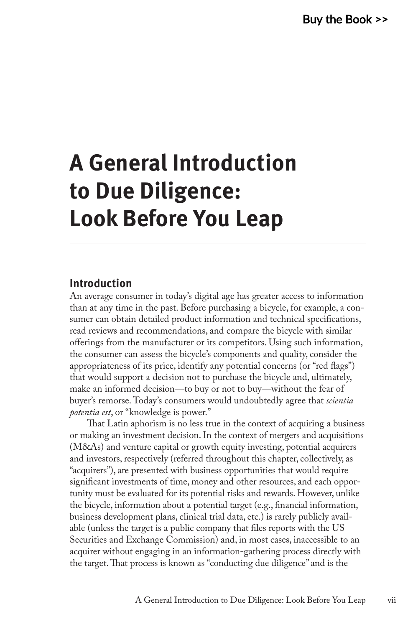# **A General Introduction to Due Diligence: Look Before You Leap**

#### **Introduction**

An average consumer in today's digital age has greater access to information than at any time in the past. Before purchasing a bicycle, for example, a consumer can obtain detailed product information and technical specifications, read reviews and recommendations, and compare the bicycle with similar offerings from the manufacturer or its competitors. Using such information, the consumer can assess the bicycle's components and quality, consider the appropriateness of its price, identify any potential concerns (or "red flags") that would support a decision not to purchase the bicycle and, ultimately, make an informed decision—to buy or not to buy—without the fear of buyer's remorse. Today's consumers would undoubtedly agree that *scientia potentia est*, or "knowledge is power."

That Latin aphorism is no less true in the context of acquiring a business or making an investment decision. In the context of mergers and acquisitions (M&As) and venture capital or growth equity investing, potential acquirers and investors, respectively (referred throughout this chapter, collectively, as "acquirers"), are presented with business opportunities that would require significant investments of time, money and other resources, and each opportunity must be evaluated for its potential risks and rewards. However, unlike the bicycle, information about a potential target (e.g., financial information, business development plans, clinical trial data, etc.) is rarely publicly available (unless the target is a public company that files reports with the US Securities and Exchange Commission) and, in most cases, inaccessible to an acquirer without engaging in an information-gathering process directly with the target. That process is known as "conducting due diligence" and is the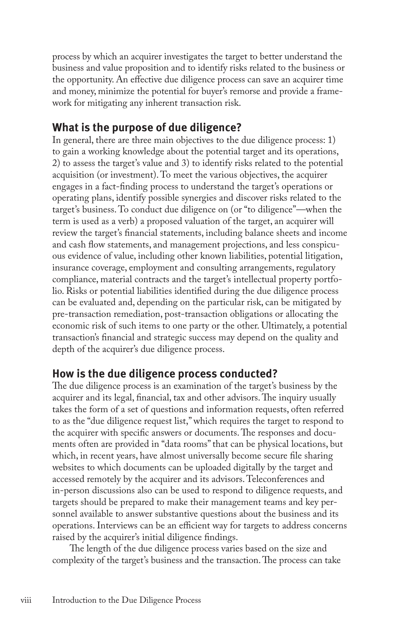process by which an acquirer investigates the target to better understand the business and value proposition and to identify risks related to the business or the opportunity. An effective due diligence process can save an acquirer time and money, minimize the potential for buyer's remorse and provide a framework for mitigating any inherent transaction risk.

## **What is the purpose of due diligence?**

In general, there are three main objectives to the due diligence process: 1) to gain a working knowledge about the potential target and its operations, 2) to assess the target's value and 3) to identify risks related to the potential acquisition (or investment). To meet the various objectives, the acquirer engages in a fact-finding process to understand the target's operations or operating plans, identify possible synergies and discover risks related to the target's business. To conduct due diligence on (or "to diligence"—when the term is used as a verb) a proposed valuation of the target, an acquirer will review the target's financial statements, including balance sheets and income and cash flow statements, and management projections, and less conspicuous evidence of value, including other known liabilities, potential litigation, insurance coverage, employment and consulting arrangements, regulatory compliance, material contracts and the target's intellectual property portfolio. Risks or potential liabilities identified during the due diligence process can be evaluated and, depending on the particular risk, can be mitigated by pre-transaction remediation, post-transaction obligations or allocating the economic risk of such items to one party or the other. Ultimately, a potential transaction's financial and strategic success may depend on the quality and depth of the acquirer's due diligence process.

## **How is the due diligence process conducted?**

The due diligence process is an examination of the target's business by the acquirer and its legal, financial, tax and other advisors. The inquiry usually takes the form of a set of questions and information requests, often referred to as the "due diligence request list," which requires the target to respond to the acquirer with specific answers or documents. The responses and documents often are provided in "data rooms" that can be physical locations, but which, in recent years, have almost universally become secure file sharing websites to which documents can be uploaded digitally by the target and accessed remotely by the acquirer and its advisors. Teleconferences and in-person discussions also can be used to respond to diligence requests, and targets should be prepared to make their management teams and key personnel available to answer substantive questions about the business and its operations. Interviews can be an efficient way for targets to address concerns raised by the acquirer's initial diligence findings.

The length of the due diligence process varies based on the size and complexity of the target's business and the transaction. The process can take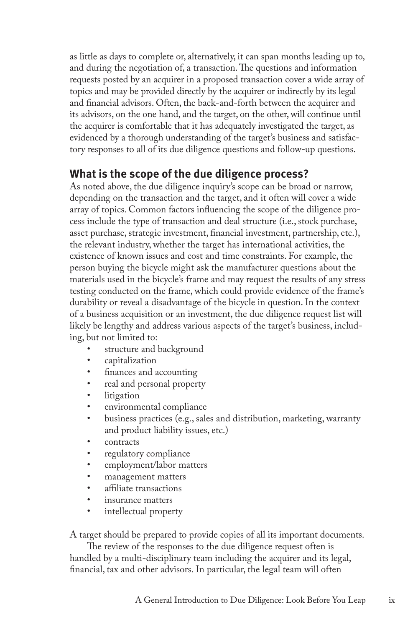as little as days to complete or, alternatively, it can span months leading up to, and during the negotiation of, a transaction.The questions and information requests posted by an acquirer in a proposed transaction cover a wide array of topics and may be provided directly by the acquirer or indirectly by its legal and financial advisors. Often, the back-and-forth between the acquirer and its advisors, on the one hand, and the target, on the other, will continue until the acquirer is comfortable that it has adequately investigated the target, as evidenced by a thorough understanding of the target's business and satisfactory responses to all of its due diligence questions and follow-up questions.

## **What is the scope of the due diligence process?**

As noted above, the due diligence inquiry's scope can be broad or narrow, depending on the transaction and the target, and it often will cover a wide array of topics. Common factors influencing the scope of the diligence process include the type of transaction and deal structure (i.e., stock purchase, asset purchase, strategic investment, financial investment, partnership, etc.), the relevant industry, whether the target has international activities, the existence of known issues and cost and time constraints. For example, the person buying the bicycle might ask the manufacturer questions about the materials used in the bicycle's frame and may request the results of any stress testing conducted on the frame, which could provide evidence of the frame's durability or reveal a disadvantage of the bicycle in question. In the context of a business acquisition or an investment, the due diligence request list will likely be lengthy and address various aspects of the target's business, including, but not limited to:

- structure and background
- capitalization
- finances and accounting
- real and personal property
- litigation
- environmental compliance
- business practices (e.g., sales and distribution, marketing, warranty and product liability issues, etc.)
- contracts
- regulatory compliance
- employment/labor matters
- management matters
- affiliate transactions
- insurance matters
- intellectual property

A target should be prepared to provide copies of all its important documents.

The review of the responses to the due diligence request often is handled by a multi-disciplinary team including the acquirer and its legal, financial, tax and other advisors. In particular, the legal team will often